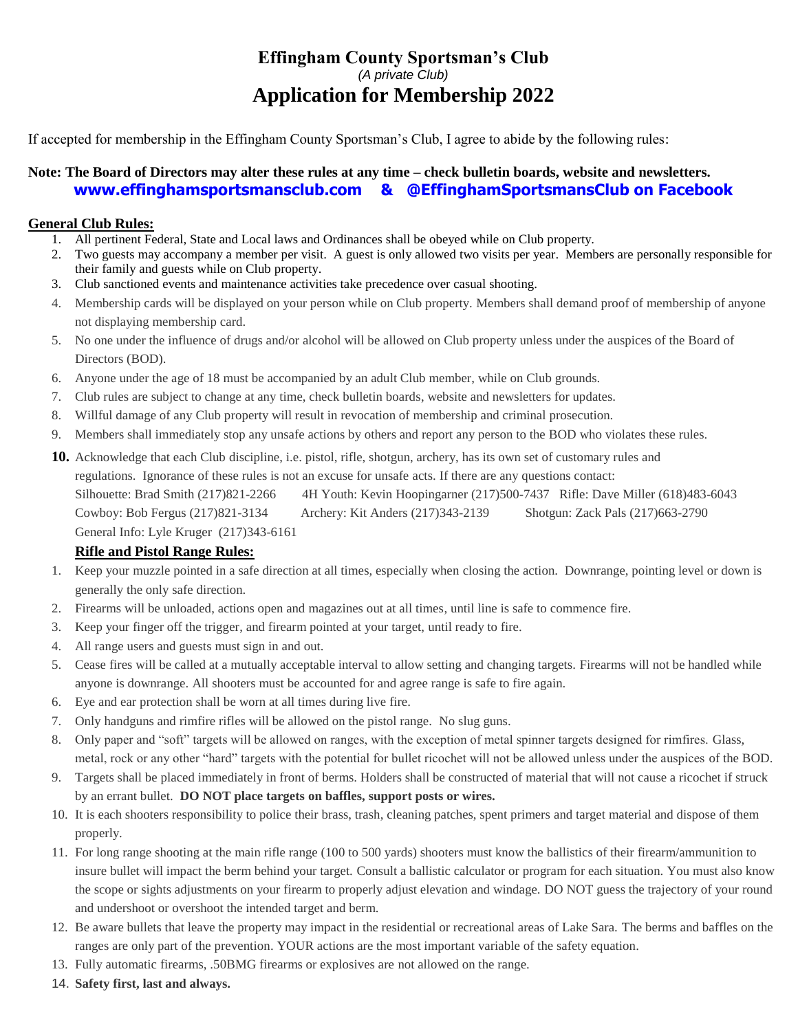# **Effingham County Sportsman's Club** *(A private Club)* **Application for Membership 2022**

If accepted for membership in the Effingham County Sportsman's Club, I agree to abide by the following rules:

### **Note: The Board of Directors may alter these rules at any time – check bulletin boards, website and newsletters. [www.effinghamsportsmansclub.com](http://www.effinghamsportsmansclub.com/) & @EffinghamSportsmansClub on Facebook**

#### **General Club Rules:**

- 1. All pertinent Federal, State and Local laws and Ordinances shall be obeyed while on Club property.
- 2. Two guests may accompany a member per visit. A guest is only allowed two visits per year. Members are personally responsible for their family and guests while on Club property.
- 3. Club sanctioned events and maintenance activities take precedence over casual shooting.
- 4. Membership cards will be displayed on your person while on Club property. Members shall demand proof of membership of anyone not displaying membership card.
- 5. No one under the influence of drugs and/or alcohol will be allowed on Club property unless under the auspices of the Board of Directors (BOD).
- 6. Anyone under the age of 18 must be accompanied by an adult Club member, while on Club grounds.
- 7. Club rules are subject to change at any time, check bulletin boards, website and newsletters for updates.
- 8. Willful damage of any Club property will result in revocation of membership and criminal prosecution.
- 9. Members shall immediately stop any unsafe actions by others and report any person to the BOD who violates these rules.
- **10.** Acknowledge that each Club discipline, i.e. pistol, rifle, shotgun, archery, has its own set of customary rules and

regulations. Ignorance of these rules is not an excuse for unsafe acts. If there are any questions contact:

Silhouette: Brad Smith (217)821-2266 4H Youth: Kevin Hoopingarner (217)500-7437 Rifle: Dave Miller (618)483-6043 Cowboy: Bob Fergus (217)821-3134 Archery: Kit Anders (217)343-2139 Shotgun: Zack Pals (217)663-2790 General Info: Lyle Kruger (217)343-6161

#### **Rifle and Pistol Range Rules:**

- 1. Keep your muzzle pointed in a safe direction at all times, especially when closing the action. Downrange, pointing level or down is generally the only safe direction.
- 2. Firearms will be unloaded, actions open and magazines out at all times, until line is safe to commence fire.
- 3. Keep your finger off the trigger, and firearm pointed at your target, until ready to fire.
- 4. All range users and guests must sign in and out.
- 5. Cease fires will be called at a mutually acceptable interval to allow setting and changing targets. Firearms will not be handled while anyone is downrange. All shooters must be accounted for and agree range is safe to fire again.
- 6. Eye and ear protection shall be worn at all times during live fire.
- 7. Only handguns and rimfire rifles will be allowed on the pistol range. No slug guns.
- 8. Only paper and "soft" targets will be allowed on ranges, with the exception of metal spinner targets designed for rimfires. Glass, metal, rock or any other "hard" targets with the potential for bullet ricochet will not be allowed unless under the auspices of the BOD.
- 9. Targets shall be placed immediately in front of berms. Holders shall be constructed of material that will not cause a ricochet if struck by an errant bullet. **DO NOT place targets on baffles, support posts or wires.**
- 10. It is each shooters responsibility to police their brass, trash, cleaning patches, spent primers and target material and dispose of them properly.
- 11. For long range shooting at the main rifle range (100 to 500 yards) shooters must know the ballistics of their firearm/ammunition to insure bullet will impact the berm behind your target. Consult a ballistic calculator or program for each situation. You must also know the scope or sights adjustments on your firearm to properly adjust elevation and windage. DO NOT guess the trajectory of your round and undershoot or overshoot the intended target and berm.
- 12. Be aware bullets that leave the property may impact in the residential or recreational areas of Lake Sara. The berms and baffles on the ranges are only part of the prevention. YOUR actions are the most important variable of the safety equation.
- 13. Fully automatic firearms, .50BMG firearms or explosives are not allowed on the range.
- 14. **Safety first, last and always.**